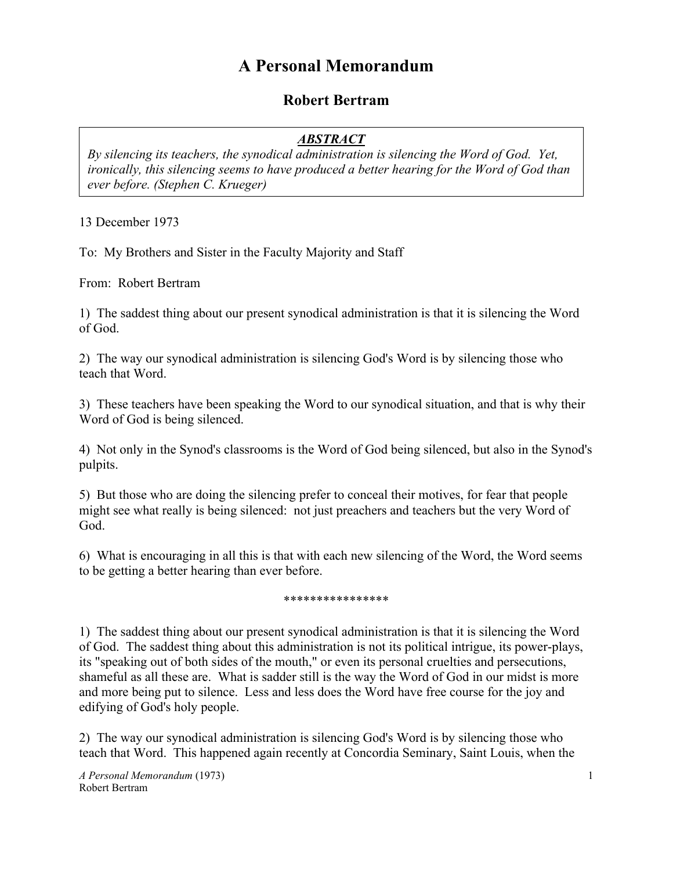## **A Personal Memorandum**

## **Robert Bertram**

## *ABSTRACT*

*By silencing its teachers, the synodical administration is silencing the Word of God. Yet, ironically, this silencing seems to have produced a better hearing for the Word of God than ever before. (Stephen C. Krueger)*

13 December 1973

To: My Brothers and Sister in the Faculty Majority and Staff

From: Robert Bertram

1) The saddest thing about our present synodical administration is that it is silencing the Word of God.

2) The way our synodical administration is silencing God's Word is by silencing those who teach that Word.

3) These teachers have been speaking the Word to our synodical situation, and that is why their Word of God is being silenced.

4) Not only in the Synod's classrooms is the Word of God being silenced, but also in the Synod's pulpits.

5) But those who are doing the silencing prefer to conceal their motives, for fear that people might see what really is being silenced: not just preachers and teachers but the very Word of God.

6) What is encouraging in all this is that with each new silencing of the Word, the Word seems to be getting a better hearing than ever before.

## \*\*\*\*\*\*\*\*\*\*\*\*\*\*\*\*

1) The saddest thing about our present synodical administration is that it is silencing the Word of God. The saddest thing about this administration is not its political intrigue, its power-plays, its "speaking out of both sides of the mouth," or even its personal cruelties and persecutions, shameful as all these are. What is sadder still is the way the Word of God in our midst is more and more being put to silence. Less and less does the Word have free course for the joy and edifying of God's holy people.

2) The way our synodical administration is silencing God's Word is by silencing those who teach that Word. This happened again recently at Concordia Seminary, Saint Louis, when the